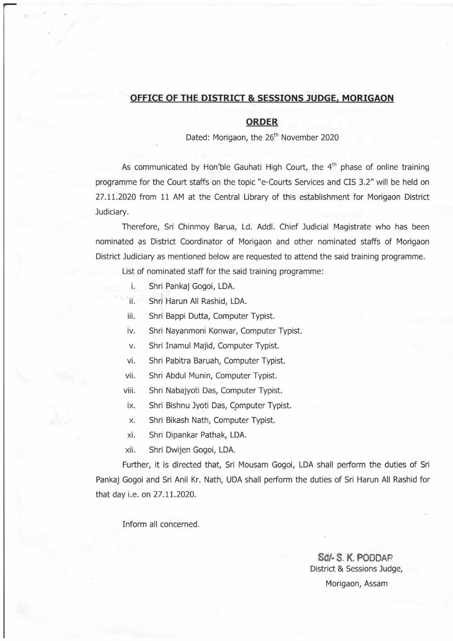## OFFICE OF THE DISTRICT & SESSIONS JUDGE, MORIGAON

## ORDER

Dated: Morigaon, the 26<sup>th</sup> November 2020

As communicated by Hon'ble Gauhati High Court, the  $4<sup>th</sup>$  phase of online training programme for the Court staffs on the topic "e-Courts Seruices and CIS 3.2" will be held on 27.1L.2020 from 11 AM at the Central Library of this establishment for Morigaon District Judiciary.

Therefore, Sri Chinmoy Barua, Ld. Addl. Chief Judicial Magistrate who has been nominated as District Coordinator of Morigaon and other nominated staffs of Morigaon District Judiciary as mentioned below are requested to attend the said training programme.

List of nominated staff for the said training programme:

- i. Shri Pankaj Gogoi, LDA.
- ii. Shri Harun All Rashid, LDA.
- iii. Shri Bappi Dutta, Computer Typist.
- iv. Shri Nayanmoni Konwar, Computer Typist.
- v. Shri Inamul Majid, Computer Typist.
- vi. Shri Pabitra Baruah, Computer Typist.
- vii. Shri Abdul Munin, Computer Typist.
- viii. Shri Nabajyoti Das, Computer Typist.
- ix. Shri Bishnu Jyoti Das, Computer Typist.
- x. Shri Bikash Nath, Computer Typist.
- xi. Shri Dipankar Pathak, LDA.
- xii. Shri Dwijen Gogoi, LDA.

Fufther, it is directed that, Sri Mousam Gogoi, LDA shall perform the duties of Sri Pankaj Gogoi and Sri Anil Kr. Nath, UDA shall peform the duties of Sri Harun All Rashid for that day i.e. on 27.11.2020.

Inform all concerned.

Sd/- S. K. PODDAR District & Sessions Judge, Morigaon, Assam